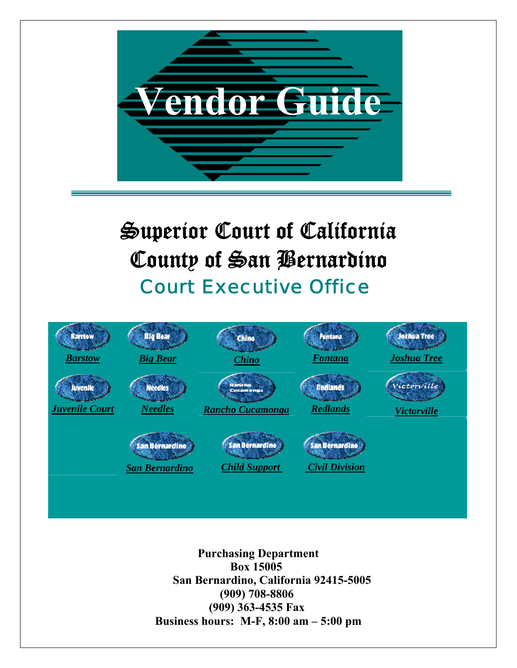

**Purchasing Department Box 15005 San Bernardino, California 92415-5005 (909) 708-8806 (909) 363-4535 Fax Business hours: M-F, 8:00 am – 5:00 pm**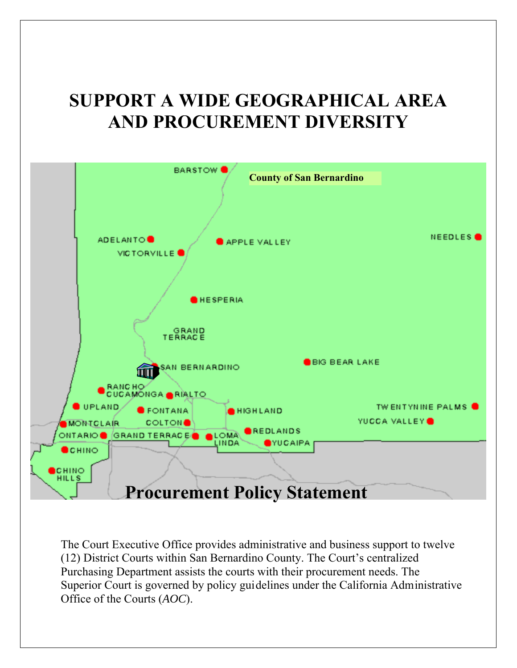## **SUPPORT A WIDE GEOGRAPHICAL AREA AND PROCUREMENT DIVERSITY**



The Court Executive Office provides administrative and business support to twelve (12) District Courts within San Bernardino County. The Court's centralized Purchasing Department assists the courts with their procurement needs. The Superior Court is governed by policy guidelines under the California Administrative Office of the Courts (*AOC*).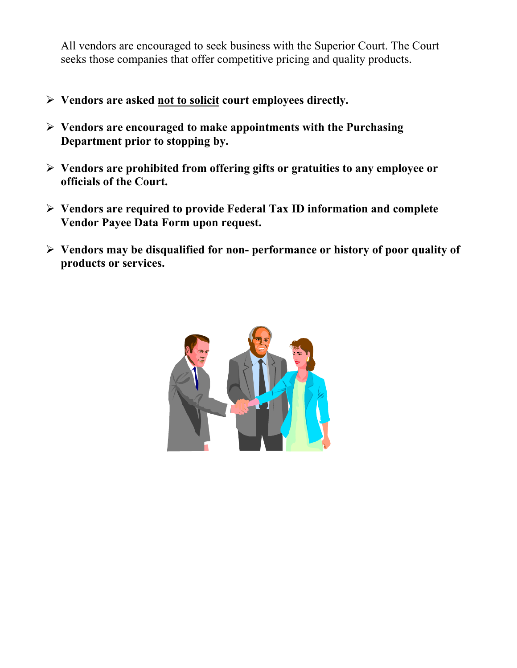All vendors are encouraged to seek business with the Superior Court. The Court seeks those companies that offer competitive pricing and quality products.

- ¾ **Vendors are asked not to solicit court employees directly.**
- ¾ **Vendors are encouraged to make appointments with the Purchasing Department prior to stopping by.**
- ¾ **Vendors are prohibited from offering gifts or gratuities to any employee or officials of the Court.**
- ¾ **Vendors are required to provide Federal Tax ID information and complete Vendor Payee Data Form upon request.**
- ¾ **Vendors may be disqualified for non- performance or history of poor quality of products or services.**

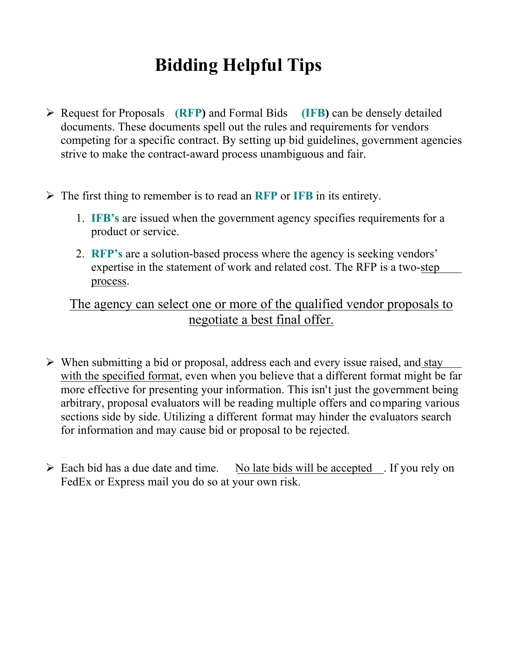## **Bidding Helpful Tips**

- ¾ Request for Proposals **(RFP)** and Formal Bids **(IFB)** can be densely detailed documents. These documents spell out the rules and requirements for vendors competing for a specific contract. By setting up bid guidelines, government agencies strive to make the contract-award process unambiguous and fair.
- ¾ The first thing to remember is to read an **RFP** or **IFB** in its entirety.
	- 1. **IFB's** are issued when the government agency specifies requirements for a product or service.
	- 2. **RFP's** are a solution-based process where the agency is seeking vendors' expertise in the statement of work and related cost. The RFP is a two-step process.

## The agency can select one or more of the qualified vendor proposals to negotiate a best final offer.

- $\triangleright$  When submitting a bid or proposal, address each and every issue raised, and stay with the specified format, even when you believe that a different format might be far more effective for presenting your information. This isn't just the government being arbitrary, proposal evaluators will be reading multiple offers and comparing various sections side by side. Utilizing a different format may hinder the evaluators search for information and may cause bid or proposal to be rejected.
- $\triangleright$  Each bid has a due date and time. No late bids will be accepted . If you rely on FedEx or Express mail you do so at your own risk.